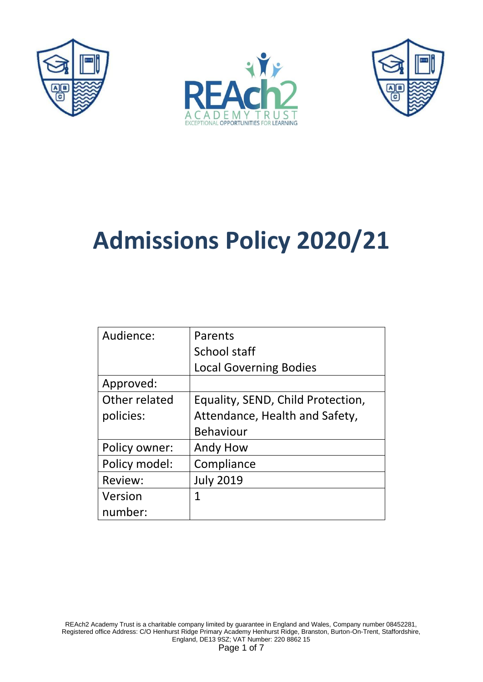





# **Admissions Policy 2020/21**

| Audience:     | Parents                           |
|---------------|-----------------------------------|
|               | School staff                      |
|               |                                   |
|               | <b>Local Governing Bodies</b>     |
| Approved:     |                                   |
| Other related | Equality, SEND, Child Protection, |
| policies:     | Attendance, Health and Safety,    |
|               | <b>Behaviour</b>                  |
| Policy owner: | Andy How                          |
| Policy model: | Compliance                        |
| Review:       | <b>July 2019</b>                  |
| Version       | 1                                 |
| number:       |                                   |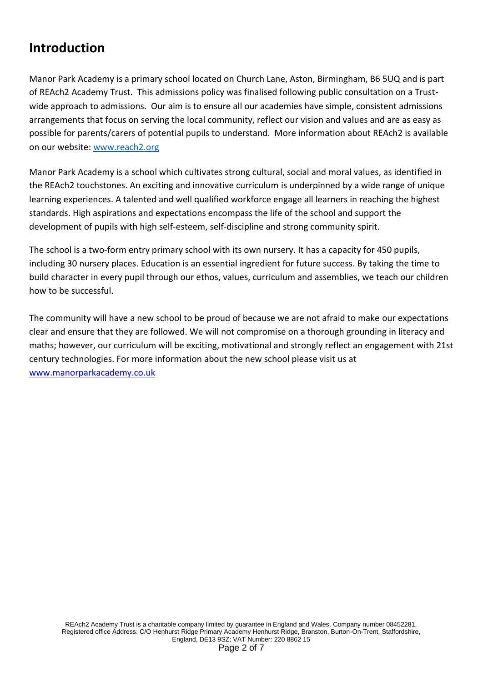## **Introduction**

Manor Park Academy is a primary school located on Church Lane, Aston, Birmingham, B6 5UQ and is part of REAch2 Academy Trust. This admissions policy was finalised following public consultation on a Trustwide approach to admissions. Our aim is to ensure all our academies have simple, consistent admissions arrangements that focus on serving the local community, reflect our vision and values and are as easy as possible for parents/carers of potential pupils to understand. More information about REAch2 is available on our website: [www.reach2.org](http://www.reach2.org/)

Manor Park Academy is a school which cultivates strong cultural, social and moral values, as identified in the REAch2 touchstones. An exciting and innovative curriculum is underpinned by a wide range of unique learning experiences. A talented and well qualified workforce engage all learners in reaching the highest standards. High aspirations and expectations encompass the life of the school and support the development of pupils with high self-esteem, self-discipline and strong community spirit.

The school is a two-form entry primary school with its own nursery. It has a capacity for 450 pupils, including 30 nursery places. Education is an essential ingredient for future success. By taking the time to build character in every pupil through our ethos, values, curriculum and assemblies, we teach our children how to be successful.

The community will have a new school to be proud of because we are not afraid to make our expectations clear and ensure that they are followed. We will not compromise on a thorough grounding in literacy and maths; however, our curriculum will be exciting, motivational and strongly reflect an engagement with 21st century technologies. For more information about the new school please visit us at [www.manorparkacademy.co.uk](http://www.manorparkacademy.co.uk/)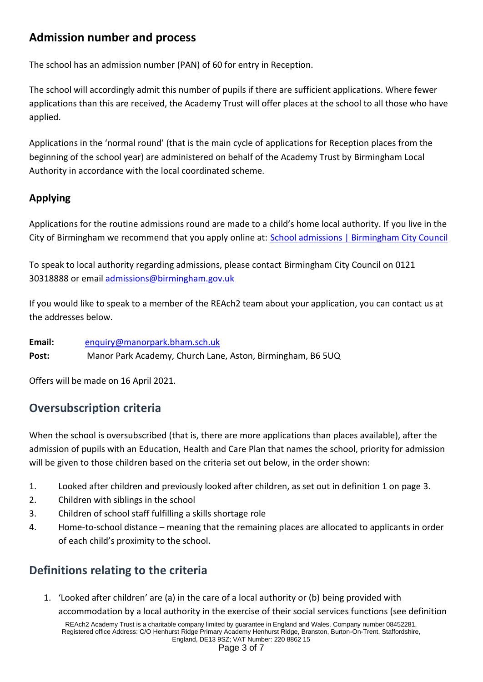#### **Admission number and process**

The school has an admission number (PAN) of 60 for entry in Reception.

The school will accordingly admit this number of pupils if there are sufficient applications. Where fewer applications than this are received, the Academy Trust will offer places at the school to all those who have applied.

Applications in the 'normal round' (that is the main cycle of applications for Reception places from the beginning of the school year) are administered on behalf of the Academy Trust by Birmingham Local Authority in accordance with the local coordinated scheme*.*

#### **Applying**

Applications for the routine admissions round are made to a child's home local authority. If you live in the City of Birmingham we recommend that you apply online at: [School admissions | Birmingham City Council](https://www.birmingham.gov.uk/schooladmissions)

To speak to local authority regarding admissions, please contact Birmingham City Council on 0121 30318888 or email [admissions@birmingham.gov.uk](mailto:admissions@birmingham.gov.uk)

If you would like to speak to a member of the REAch2 team about your application, you can contact us at the addresses below.

**Email:** [enquiry@manorpark.bham.sch.uk](mailto:enquiry@manorpark.bham.sch.uk) Post: Manor Park Academy, Church Lane, Aston, Birmingham, B6 5UQ

Offers will be made on 16 April 2021.

## **Oversubscription criteria**

When the school is oversubscribed (that is, there are more applications than places available), after the admission of pupils with an Education, Health and Care Plan that names the school, priority for admission will be given to those children based on the criteria set out below, in the order shown:

- 1. Looked after children and previously looked after children, as set out in definition 1 on page 3.
- 2. Children with siblings in the school
- 3. Children of school staff fulfilling a skills shortage role
- 4. Home-to-school distance meaning that the remaining places are allocated to applicants in order of each child's proximity to the school.

## **Definitions relating to the criteria**

1. 'Looked after children' are (a) in the care of a local authority or (b) being provided with accommodation by a local authority in the exercise of their social services functions (see definition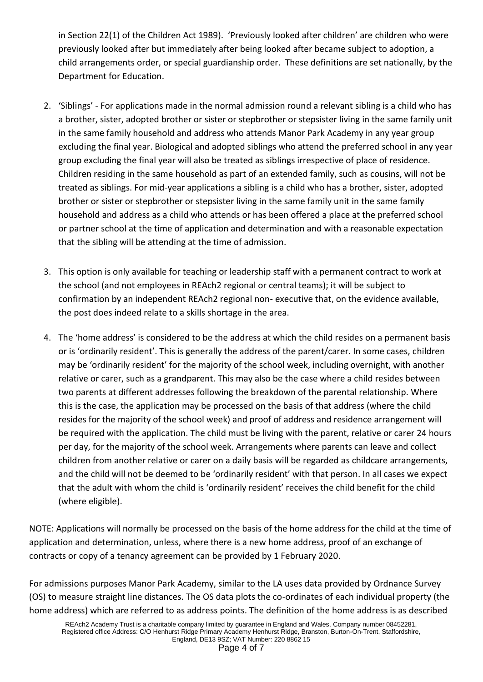in Section 22(1) of the Children Act 1989). 'Previously looked after children' are children who were previously looked after but immediately after being looked after became subject to adoption, a child arrangements order, or special guardianship order. These definitions are set nationally, by the Department for Education.

- 2. 'Siblings' For applications made in the normal admission round a relevant sibling is a child who has a brother, sister, adopted brother or sister or stepbrother or stepsister living in the same family unit in the same family household and address who attends Manor Park Academy in any year group excluding the final year. Biological and adopted siblings who attend the preferred school in any year group excluding the final year will also be treated as siblings irrespective of place of residence. Children residing in the same household as part of an extended family, such as cousins, will not be treated as siblings. For mid-year applications a sibling is a child who has a brother, sister, adopted brother or sister or stepbrother or stepsister living in the same family unit in the same family household and address as a child who attends or has been offered a place at the preferred school or partner school at the time of application and determination and with a reasonable expectation that the sibling will be attending at the time of admission.
- 3. This option is only available for teaching or leadership staff with a permanent contract to work at the school (and not employees in REAch2 regional or central teams); it will be subject to confirmation by an independent REAch2 regional non- executive that, on the evidence available, the post does indeed relate to a skills shortage in the area.
- 4. The 'home address' is considered to be the address at which the child resides on a permanent basis or is 'ordinarily resident'. This is generally the address of the parent/carer. In some cases, children may be 'ordinarily resident' for the majority of the school week, including overnight, with another relative or carer, such as a grandparent. This may also be the case where a child resides between two parents at different addresses following the breakdown of the parental relationship. Where this is the case, the application may be processed on the basis of that address (where the child resides for the majority of the school week) and proof of address and residence arrangement will be required with the application. The child must be living with the parent, relative or carer 24 hours per day, for the majority of the school week. Arrangements where parents can leave and collect children from another relative or carer on a daily basis will be regarded as childcare arrangements, and the child will not be deemed to be 'ordinarily resident' with that person. In all cases we expect that the adult with whom the child is 'ordinarily resident' receives the child benefit for the child (where eligible).

NOTE: Applications will normally be processed on the basis of the home address for the child at the time of application and determination, unless, where there is a new home address, proof of an exchange of contracts or copy of a tenancy agreement can be provided by 1 February 2020.

For admissions purposes Manor Park Academy, similar to the LA uses data provided by Ordnance Survey (OS) to measure straight line distances. The OS data plots the co-ordinates of each individual property (the home address) which are referred to as address points. The definition of the home address is as described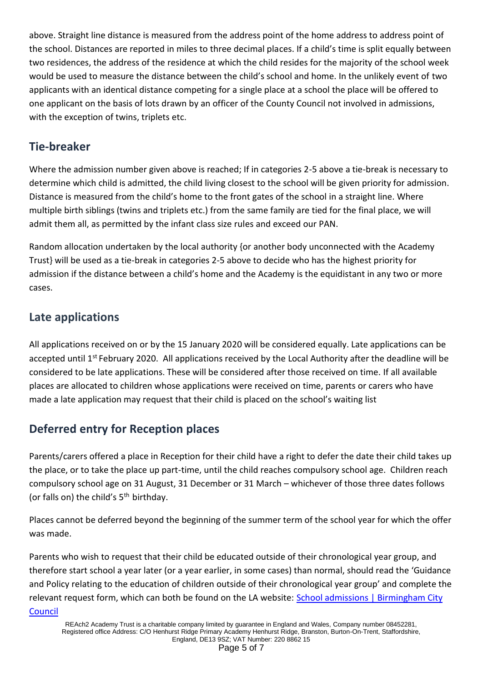above. Straight line distance is measured from the address point of the home address to address point of the school. Distances are reported in miles to three decimal places. If a child's time is split equally between two residences, the address of the residence at which the child resides for the majority of the school week would be used to measure the distance between the child's school and home. In the unlikely event of two applicants with an identical distance competing for a single place at a school the place will be offered to one applicant on the basis of lots drawn by an officer of the County Council not involved in admissions, with the exception of twins, triplets etc.

#### **Tie-breaker**

Where the admission number given above is reached; If in categories 2-5 above a tie-break is necessary to determine which child is admitted, the child living closest to the school will be given priority for admission. Distance is measured from the child's home to the front gates of the school in a straight line. Where multiple birth siblings (twins and triplets etc.) from the same family are tied for the final place, we will admit them all, as permitted by the infant class size rules and exceed our PAN.

Random allocation undertaken by the local authority {or another body unconnected with the Academy Trust} will be used as a tie-break in categories 2-5 above to decide who has the highest priority for admission if the distance between a child's home and the Academy is the equidistant in any two or more cases.

## **Late applications**

All applications received on or by the 15 January 2020 will be considered equally. Late applications can be accepted until 1<sup>st</sup> February 2020. All applications received by the Local Authority after the deadline will be considered to be late applications. These will be considered after those received on time. If all available places are allocated to children whose applications were received on time, parents or carers who have made a late application may request that their child is placed on the school's waiting list

## **Deferred entry for Reception places**

Parents/carers offered a place in Reception for their child have a right to defer the date their child takes up the place, or to take the place up part-time, until the child reaches compulsory school age. Children reach compulsory school age on 31 August, 31 December or 31 March – whichever of those three dates follows (or falls on) the child's  $5<sup>th</sup>$  birthday.

Places cannot be deferred beyond the beginning of the summer term of the school year for which the offer was made.

Parents who wish to request that their child be educated outside of their chronological year group, and therefore start school a year later (or a year earlier, in some cases) than normal, should read the 'Guidance and Policy relating to the education of children outside of their chronological year group' and complete the relevant request form, which can both be found on the LA website: [School admissions | Birmingham City](https://www.birmingham.gov.uk/schooladmissions)  [Council](https://www.birmingham.gov.uk/schooladmissions)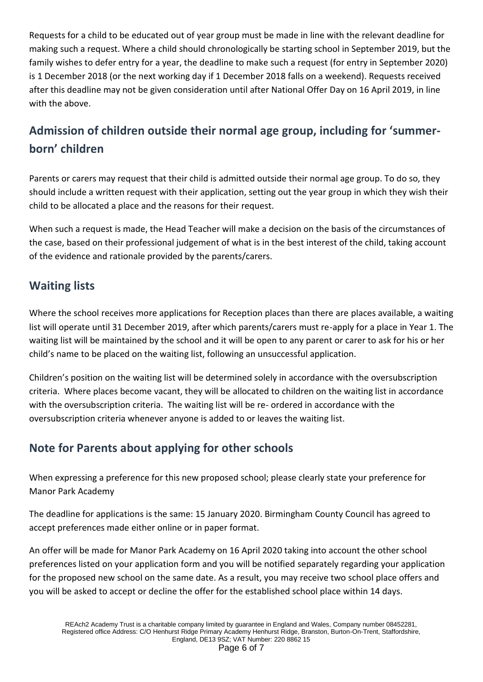Requests for a child to be educated out of year group must be made in line with the relevant deadline for making such a request. Where a child should chronologically be starting school in September 2019, but the family wishes to defer entry for a year, the deadline to make such a request (for entry in September 2020) is 1 December 2018 (or the next working day if 1 December 2018 falls on a weekend). Requests received after this deadline may not be given consideration until after National Offer Day on 16 April 2019, in line with the above.

## **Admission of children outside their normal age group, including for 'summerborn' children**

Parents or carers may request that their child is admitted outside their normal age group. To do so, they should include a written request with their application, setting out the year group in which they wish their child to be allocated a place and the reasons for their request.

When such a request is made, the Head Teacher will make a decision on the basis of the circumstances of the case, based on their professional judgement of what is in the best interest of the child, taking account of the evidence and rationale provided by the parents/carers.

#### **Waiting lists**

Where the school receives more applications for Reception places than there are places available, a waiting list will operate until 31 December 2019, after which parents/carers must re-apply for a place in Year 1. The waiting list will be maintained by the school and it will be open to any parent or carer to ask for his or her child's name to be placed on the waiting list, following an unsuccessful application.

Children's position on the waiting list will be determined solely in accordance with the oversubscription criteria. Where places become vacant, they will be allocated to children on the waiting list in accordance with the oversubscription criteria. The waiting list will be re- ordered in accordance with the oversubscription criteria whenever anyone is added to or leaves the waiting list.

## **Note for Parents about applying for other schools**

When expressing a preference for this new proposed school; please clearly state your preference for Manor Park Academy

The deadline for applications is the same: 15 January 2020. Birmingham County Council has agreed to accept preferences made either online or in paper format.

An offer will be made for Manor Park Academy on 16 April 2020 taking into account the other school preferences listed on your application form and you will be notified separately regarding your application for the proposed new school on the same date. As a result, you may receive two school place offers and you will be asked to accept or decline the offer for the established school place within 14 days.